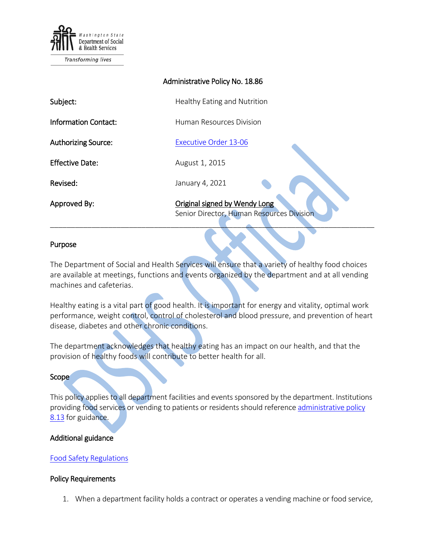

| Administrative Policy No. 18.86 |                                                                            |
|---------------------------------|----------------------------------------------------------------------------|
| Subject:                        | Healthy Eating and Nutrition                                               |
| <b>Information Contact:</b>     | Human Resources Division                                                   |
| <b>Authorizing Source:</b>      | <b>Executive Order 13-06</b>                                               |
| <b>Effective Date:</b>          | August 1, 2015                                                             |
| Revised:                        | January 4, 2021                                                            |
| Approved By:                    | Original signed by Wendy Long<br>Senior Director, Human Resources Division |

# Purpose

The Department of Social and Health Services will ensure that a variety of healthy food choices are available at meetings, functions and events organized by the department and at all vending machines and cafeterias.

Healthy eating is a vital part of good health. It is important for energy and vitality, optimal work performance, weight control, control of cholesterol and blood pressure, and prevention of heart disease, diabetes and other chronic conditions.

The department acknowledges that healthy eating has an impact on our health, and that the provision of healthy foods will contribute to better health for all.

# **Scope**

This policy applies to all department facilities and events sponsored by the department. Institutions providing food services or vending to patients or residents should reference administrative policy [8.13](http://one.dshs.wa.lcl/Policies/Administrative/DSHS-AP-08-13.pdf) for guidance.

# Additional guidance

# [Food Safety Regulations](http://www.fsis.usda.gov/wps/portal/fsis/topics/food-safety-education/get-answers/food-safety-fact-sheets/safe-food-handling/basics-for-handling-food-safely)

## Policy Requirements

1. When a department facility holds a contract or operates a vending machine or food service,